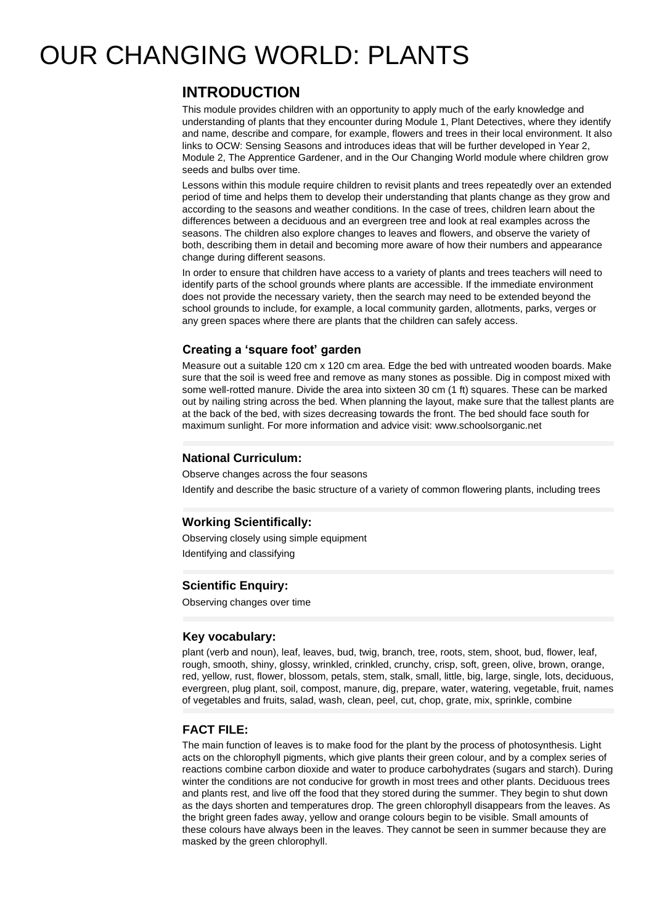# OUR CHANGING WORLD: PLANTS

# **INTRODUCTION**

This module provides children with an opportunity to apply much of the early knowledge and understanding of plants that they encounter during Module 1, Plant Detectives, where they identify and name, describe and compare, for example, flowers and trees in their local environment. It also links to OCW: Sensing Seasons and introduces ideas that will be further developed in Year 2, Module 2, The Apprentice Gardener, and in the Our Changing World module where children grow seeds and bulbs over time.

Lessons within this module require children to revisit plants and trees repeatedly over an extended period of time and helps them to develop their understanding that plants change as they grow and according to the seasons and weather conditions. In the case of trees, children learn about the differences between a deciduous and an evergreen tree and look at real examples across the seasons. The children also explore changes to leaves and flowers, and observe the variety of both, describing them in detail and becoming more aware of how their numbers and appearance change during different seasons.

In order to ensure that children have access to a variety of plants and trees teachers will need to identify parts of the school grounds where plants are accessible. If the immediate environment does not provide the necessary variety, then the search may need to be extended beyond the school grounds to include, for example, a local community garden, allotments, parks, verges or any green spaces where there are plants that the children can safely access.

## **Creating a 'square foot' garden**

Measure out a suitable 120 cm x 120 cm area. Edge the bed with untreated wooden boards. Make sure that the soil is weed free and remove as many stones as possible. Dig in compost mixed with some well-rotted manure. Divide the area into sixteen 30 cm (1 ft) squares. These can be marked out by nailing string across the bed. When planning the layout, make sure that the tallest plants are at the back of the bed, with sizes decreasing towards the front. The bed should face south for maximum sunlight. For more information and advice visit: www.schoolsorganic.net

### **National Curriculum:**

Observe changes across the four seasons Identify and describe the basic structure of a variety of common flowering plants, including trees

#### **Working Scientifically:**

Observing closely using simple equipment Identifying and classifying

#### **Scientific Enquiry:**

Observing changes over time

#### **Key vocabulary:**

plant (verb and noun), leaf, leaves, bud, twig, branch, tree, roots, stem, shoot, bud, flower, leaf, rough, smooth, shiny, glossy, wrinkled, crinkled, crunchy, crisp, soft, green, olive, brown, orange, red, yellow, rust, flower, blossom, petals, stem, stalk, small, little, big, large, single, lots, deciduous, evergreen, plug plant, soil, compost, manure, dig, prepare, water, watering, vegetable, fruit, names of vegetables and fruits, salad, wash, clean, peel, cut, chop, grate, mix, sprinkle, combine

#### **FACT FILE:**

The main function of leaves is to make food for the plant by the process of photosynthesis. Light acts on the chlorophyll pigments, which give plants their green colour, and by a complex series of reactions combine carbon dioxide and water to produce carbohydrates (sugars and starch). During winter the conditions are not conducive for growth in most trees and other plants. Deciduous trees and plants rest, and live off the food that they stored during the summer. They begin to shut down as the days shorten and temperatures drop. The green chlorophyll disappears from the leaves. As the bright green fades away, yellow and orange colours begin to be visible. Small amounts of these colours have always been in the leaves. They cannot be seen in summer because they are masked by the green chlorophyll.